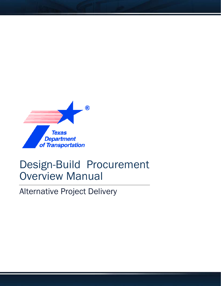

# Design-Build Procurement Overview Manual

Alternative Project Delivery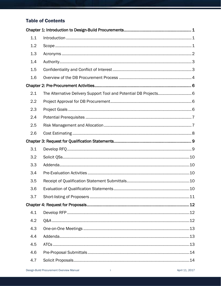# **Table of Contents**

| 1.1 |                                                                   |  |  |
|-----|-------------------------------------------------------------------|--|--|
| 1.2 |                                                                   |  |  |
| 1.3 |                                                                   |  |  |
| 1.4 |                                                                   |  |  |
| 1.5 |                                                                   |  |  |
| 1.6 |                                                                   |  |  |
|     |                                                                   |  |  |
| 2.1 | The Alternative Delivery Support Tool and Potential DB Projects 6 |  |  |
| 2.2 |                                                                   |  |  |
| 2.3 |                                                                   |  |  |
| 2.4 |                                                                   |  |  |
| 2.5 |                                                                   |  |  |
| 2.6 |                                                                   |  |  |
|     |                                                                   |  |  |
|     |                                                                   |  |  |
| 3.1 |                                                                   |  |  |
| 3.2 |                                                                   |  |  |
| 3.3 |                                                                   |  |  |
| 3.4 |                                                                   |  |  |
| 3.5 |                                                                   |  |  |
| 3.6 | .10                                                               |  |  |
| 3.7 |                                                                   |  |  |
|     |                                                                   |  |  |
| 4.1 |                                                                   |  |  |
| 4.2 |                                                                   |  |  |
| 4.3 |                                                                   |  |  |
| 4.4 |                                                                   |  |  |
| 4.5 |                                                                   |  |  |
| 4.6 |                                                                   |  |  |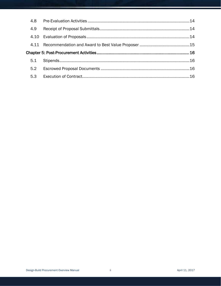| 4.8 |  |  |
|-----|--|--|
| 4.9 |  |  |
|     |  |  |
|     |  |  |
|     |  |  |
| 5.1 |  |  |
| 5.2 |  |  |
| 5.3 |  |  |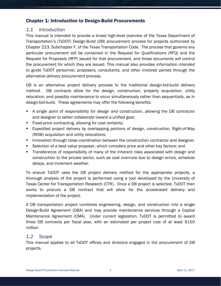# <span id="page-3-0"></span>Chapter 1: Introduction to Design-Build Procurements

# <span id="page-3-1"></span>*1.1 Introduction*

This manual is intended to provide a broad high-level overview of the Texas Department of Transportation's (TxDOT) Design-Build (DB) procurement process for projects authorized by Chapter 223, Subchapter F, of the Texas Transportation Code. The process that governs any particular procurement will be contained in the Request for Qualifications (RFQ) and the Request for Proposals (RFP) issued for that procurement, and those documents will control the procurement for which they are issued. This manual also provides information intended to guide TxDOT personnel, proposers, consultants, and other involved parties through the alternative delivery procurement process.

DB is an alternative project delivery process to the traditional design-bid-build delivery method. DB contracts allow for the design, construction, property acquisition, utility relocation, and possibly maintenance to occur simultaneously rather than sequentially, as in design-bid-build. These agreements may offer the following benefits:

- A single point of responsibility for design and construction, allowing the DB contractor and designer to better collaborate toward a unified goal;
- **Fixed-price contracting, allowing for cost certainty;**
- Expedited project delivery by overlapping portions of design, construction, Right-of-Way (ROW) acquisition and utility relocations;
- **Innovation through close coordination between the construction contractor and designer;**
- Selection of a best value proposer, which considers price and other key factors; and
- Transference of responsibility of many of the inherent risks associated with design and construction to the private sector, such as cost overruns due to design errors, schedule delays, and inclement weather.

To ensure TxDOT uses the DB project delivery method for the appropriate projects, a thorough analysis of the project is performed using a tool developed by the University of Texas Center for Transportation Research (CTR). Once a DB project is selected, TxDOT then works to procure a DB contract that will allow for the accelerated delivery and implementation of the project.

A DB transportation project combines engineering, design, and construction into a single Design-Build Agreement (DBA) and may provide maintenance services through a Capital Maintenance Agreement (CMA). Under current legislation, TxDOT is permitted to award three DB contracts per fiscal year, with an estimated per project cost of at least \$150 million.

#### <span id="page-3-2"></span>*1.2 Scope*

This manual applies to all TxDOT offices and divisions engaged in the procurement of DB projects.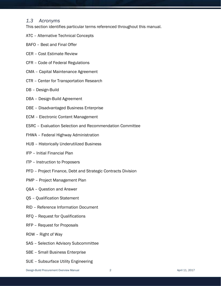# <span id="page-4-0"></span>*1.3 Acronyms*

This section identifies particular terms referenced throughout this manual.

- ATC Alternative Technical Concepts
- BAFO Best and Final Offer
- CER Cost Estimate Review
- CFR Code of Federal Regulations
- CMA Capital Maintenance Agreement
- CTR Center for Transportation Research
- DB Design-Build
- DBA Design-Build Agreement
- DBE Disadvantaged Business Enterprise
- ECM Electronic Content Management
- ESRC Evaluation Selection and Recommendation Committee
- FHWA Federal Highway Administration
- HUB Historically Underutilized Business
- IFP Initial Financial Plan
- ITP Instruction to Proposers
- PFD Project Finance, Debt and Strategic Contracts Division
- PMP Project Management Plan
- Q&A Question and Answer
- QS Qualification Statement
- RID Reference Information Document
- RFQ Request for Qualifications
- RFP Request for Proposals
- ROW Right of Way
- SAS Selection Advisory Subcommittee
- SBE Small Business Enterprise
- SUE Subsurface Utility Engineering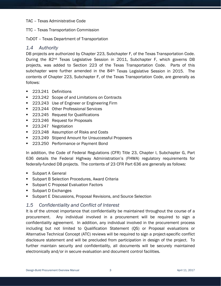#### TAC – Texas Administrative Code

TTC – Texas Transportation Commission

TxDOT – Texas Department of Transportation

#### <span id="page-5-0"></span>*1.4 Authority*

DB projects are authorized by Chapter 223, Subchapter F, of the Texas Transportation Code. During the 82<sup>nd</sup> Texas Legislative Session in 2011, Subchapter F, which governs DB projects, was added to Section 223 of the Texas Transportation Code. Parts of this subchapter were further amended in the 84<sup>th</sup> Texas Legislative Session in 2015. The contents of Chapter 223, Subchapter F, of the Texas Transportation Code, are generally as follows:

- 223.241 Definitions
- 223.242 Scope of and Limitations on Contracts
- 223.243 Use of Engineer or Engineering Firm
- 223.244 Other Professional Services
- 223.245 Request for Qualifications
- 223.246 Request for Proposals
- 223.247 Negotiation
- 223.248 Assumption of Risks and Costs
- 223.249 Stipend Amount for Unsuccessful Proposers
- 223.250 Performance or Payment Bond

In addition, the Code of Federal Regulations (CFR) Title 23, Chapter I, Subchapter G, Part 636 details the Federal Highway Administration's (FHWA) regulatory requirements for federally-funded DB projects. The contents of 23 CFR Part 636 are generally as follows:

- Subpart A General
- **Subpart B Selection Procedures, Award Criteria**
- **Subpart C Proposal Evaluation Factors**
- Subpart D Exchanges
- **Subpart E Discussions, Proposal Revisions, and Source Selection**

#### <span id="page-5-1"></span>*1.5 Confidentiality and Conflict of Interest*

It is of the utmost importance that confidentiality be maintained throughout the course of a procurement. Any individual involved in a procurement will be required to sign a confidentiality agreement. In addition, any individual involved in the procurement process including but not limited to Qualification Statement (QS) or Proposal evaluations or Alternative Technical Concept (ATC) reviews will be required to sign a project-specific conflict disclosure statement and will be precluded from participation in design of the project. To further maintain security and confidentiality, all documents will be securely maintained electronically and/or in secure evaluation and document control facilities.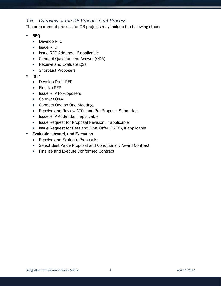# <span id="page-6-0"></span>*1.6 Overview of the DB Procurement Process*

The procurement process for DB projects may include the following steps:

- RFQ
	- Develop RFQ
	- Issue RFQ
	- Issue RFQ Addenda, if applicable
	- Conduct Question and Answer (Q&A)
	- Receive and Evaluate QSs
	- Short-List Proposers
- RFP
	- Develop Draft RFP
	- Finalize RFP
	- Issue RFP to Proposers
	- Conduct Q&A
	- Conduct One-on-One Meetings
	- Receive and Review ATCs and Pre-Proposal Submittals
	- Issue RFP Addenda, if applicable
	- Issue Request for Proposal Revision, if applicable
	- Issue Request for Best and Final Offer (BAFO), if applicable
- **Evaluation, Award, and Execution** 
	- Receive and Evaluate Proposals
	- Select Best Value Proposal and Conditionally Award Contract
	- Finalize and Execute Conformed Contract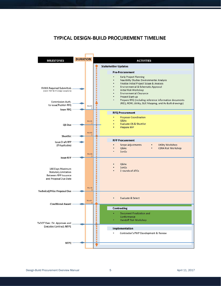# **TYPICAL DESIGN-BUILD PROCUREMENT TIMELINE**

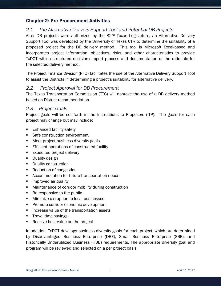# <span id="page-8-0"></span>Chapter 2: Pre-Procurement Activities

# <span id="page-8-1"></span>*2.1 The Alternative Delivery Support Tool and Potential DB Projects*

After DB projects were authorized by the 82<sup>nd</sup> Texas Legislature, an Alternative Delivery Support Tool was developed by the University of Texas CTR to determine the suitability of a proposed project for the DB delivery method. This tool is Microsoft Excel-based and incorporates project information, objectives, risks, and other characteristics to provide TxDOT with a structured decision-support process and documentation of the rationale for the selected delivery method.

The Project Finance Division (PFD) facilitates the use of the Alternative Delivery Support Tool to assist the Districts in determining a project's suitability for alternative delivery.

# <span id="page-8-2"></span>*2.2 Project Approval for DB Procurement*

The Texas Transportation Commission (TTC) will approve the use of a DB delivery method based on District recommendation.

#### <span id="page-8-3"></span>*2.3 Project Goals*

Project goals will be set forth in the Instructions to Proposers (ITP). The goals for each project may change but may include:

- **Enhanced facility safety**
- **Safe construction environment**
- **Meet project business diversity goals**
- **Efficient operations of constructed facility**
- **Expedited project delivery**
- **•** Quality design
- **•** Quality construction
- Reduction of congestion
- Accommodation for future transportation needs
- **IMPROVED AIR QUALICE**
- **EXECT** Maintenance of corridor mobility during construction
- Be responsive to the public
- **Minimize disruption to local businesses**
- **Promote corridor economic development**
- **Increase value of the transportation assets**
- **Travel time savings**
- Receive best value on the project

In addition, TxDOT develops business diversity goals for each project, which are determined by Disadvantaged Business Enterprise (DBE), Small Business Enterprise (SBE), and Historically Underutilized Business (HUB) requirements. The appropriate diversity goal and program will be reviewed and selected on a per project basis.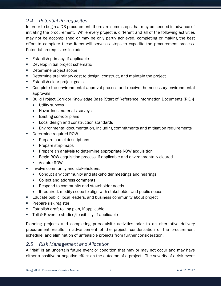# <span id="page-9-0"></span>*2.4 Potential Prerequisites*

In order to begin a DB procurement, there are some steps that may be needed in advance of initiating the procurement. While every project is different and all of the following activities may not be accomplished or may be only partly achieved, completing or making the best effort to complete these items will serve as steps to expedite the procurement process. Potential prerequisites include:

- Establish primacy, if applicable
- Develop initial project schematic
- Determine project scope
- **Determine preliminary cost to design, construct, and maintain the project**
- **Establish clear project goals**
- Complete the environmental approval process and receive the necessary environmental approvals
- Build Project Corridor Knowledge Base [Start of Reference Information Documents (RID)]
	- Utility surveys
	- Hazardous materials surveys
	- Existing corridor plans
	- Local design and construction standards
	- Environmental documentation, including commitments and mitigation requirements
- Determine required ROW
	- **Prepare parcel descriptions**
	- **Prepare strip-maps**
	- **Prepare an analysis to determine appropriate ROW acquisition**
	- Begin ROW acquisition process, if applicable and environmentally cleared
	- Acquire ROW
- Involve community and stakeholders:
	- Conduct any community and stakeholder meetings and hearings
	- Collect and address comments
	- Respond to community and stakeholder needs
	- If required, modify scope to align with stakeholder and public needs
- **Educate public, local leaders, and business community about project**
- **Prepare risk register**
- **Establish draft tolling plan, if applicable**
- Toll & Revenue studies/feasibility, if applicable

Planning projects and completing prerequisite activities prior to an alternative delivery procurement results in advancement of the project, condensation of the procurement schedule, and elimination of unfeasible projects from further consideration.

#### <span id="page-9-1"></span>*2.5 Risk Management and Allocation*

A "risk" is an uncertain future event or condition that may or may not occur and may have either a positive or negative effect on the outcome of a project. The severity of a risk event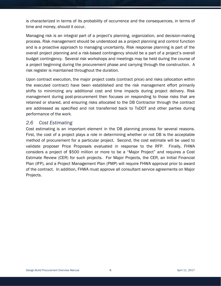is characterized in terms of its probability of occurrence and the consequences, in terms of time and money, should it occur.

Managing risk is an integral part of a project's planning, organization, and decision-making process. Risk management should be understood as a project planning and control function and is a proactive approach to managing uncertainty. Risk response planning is part of the overall project planning and a risk-based contingency should be a part of a project's overall budget contingency. Several risk workshops and meetings may be held during the course of a project beginning during the procurement phase and carrying through the construction. A risk register is maintained throughout the duration.

Upon contract execution, the major project costs (contract price) and risks (allocation within the executed contract) have been established and the risk management effort primarily shifts to minimizing any additional cost and time impacts during project delivery. Risk management during post-procurement then focuses on responding to those risks that are retained or shared, and ensuring risks allocated to the DB Contractor through the contract are addressed as specified and not transferred back to TxDOT and other parties during performance of the work.

# <span id="page-10-0"></span>*2.6 Cost Estimating*

Cost estimating is an important element in the DB planning process for several reasons. First, the cost of a project plays a role in determining whether or not DB is the acceptable method of procurement for a particular project. Second, the cost estimate will be used to validate proposer Price Proposals evaluated in response to the RFP. Finally, FHWA considers a project of \$500 million or more to be a "Major Project" and requires a Cost Estimate Review (CER) for such projects. For Major Projects, the CER, an Initial Financial Plan (IFP), and a Project Management Plan (PMP) will require FHWA approval prior to award of the contract. In addition, FHWA must approve all consultant service agreements on Major Projects.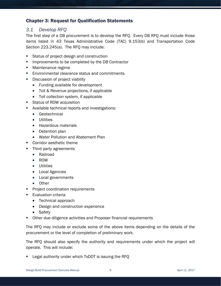# <span id="page-11-0"></span>Chapter 3: Request for Qualification Statements

# <span id="page-11-1"></span>*3.1 Develop RFQ*

The first step of a DB procurement is to develop the RFQ. Every DB RFQ must include those items listed in 43 Texas Administrative Code (TAC) 9.153(b) and Transportation Code Section 223.245(a). The RFQ may include:

- **Status of project design and construction**
- **IMPROMEDUALE:** Improvements to be completed by the DB Contractor
- **Maintenance regime**
- **Environmental clearance status and commitments**
- Discussion of project viability
	- Funding available for development
	- Toll & Revenue projections, if applicable
	- Toll collection system, if applicable
- Status of ROW acquisition
- Available technical reports and investigations:
	- Geotechnical
	- Utilities
	- Hazardous materials
	- Detention plan
	- Water Pollution and Abatement Plan
- Corridor aesthetic theme
- Third party agreements
	- Railroad
	- ROW
	- Utilities
	- Local Agencies
	- Local governments
	- Other
- Project coordination requirements
- Evaluation criteria
	- Technical approach
	- Design and construction experience
	- Safety
- Other due diligence activities and Proposer financial requirements

The RFQ may include or exclude some of the above items depending on the details of the procurement or the level of completion of preliminary work.

The RFQ should also specify the authority and requirements under which the project will operate. This will include:

Legal authority under which TxDOT is issuing the RFQ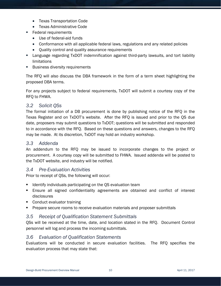- Texas Transportation Code
- Texas Administrative Code
- Federal requirements
	- Use of federal-aid funds
	- Conformance with all applicable federal laws, regulations and any related policies
	- Quality control and quality assurance requirements
- Language regarding TxDOT indemnification against third-party lawsuits, and tort liability limitations
- **Business diversity requirements**

The RFQ will also discuss the DBA framework in the form of a term sheet highlighting the proposed DBA terms.

For any projects subject to federal requirements, TxDOT will submit a courtesy copy of the RFQ to FHWA.

#### <span id="page-12-0"></span>*3.2 Solicit QSs*

The formal initiation of a DB procurement is done by publishing notice of the RFQ in the Texas Register and on TxDOT's website. After the RFQ is issued and prior to the QS due date, proposers may submit questions to TxDOT; questions will be submitted and responded to in accordance with the RFQ. Based on these questions and answers, changes to the RFQ may be made. At its discretion, TxDOT may hold an industry workshop.

#### <span id="page-12-1"></span>*3.3 Addenda*

An addendum to the RFQ may be issued to incorporate changes to the project or procurement. A courtesy copy will be submitted to FHWA. Issued addenda will be posted to the TxDOT website, and industry will be notified.

#### <span id="page-12-2"></span>*3.4 Pre-Evaluation Activities*

Prior to receipt of QSs, the following will occur:

- **I** Identify individuals participating on the QS evaluation team
- Ensure all signed confidentiality agreements are obtained and conflict of interest disclosures
- **Conduct evaluator training**
- Prepare secure rooms to receive evaluation materials and proposer submittals

# <span id="page-12-3"></span>*3.5 Receipt of Qualification Statement Submittals*

QSs will be received at the time, date, and location stated in the RFQ. Document Control personnel will log and process the incoming submittals.

#### <span id="page-12-4"></span>*3.6 Evaluation of Qualification Statements*

Evaluations will be conducted in secure evaluation facilities. The RFQ specifies the evaluation process that may state that: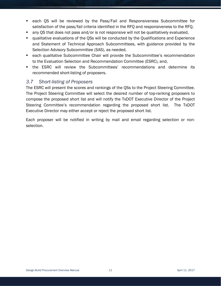- each QS will be reviewed by the Pass/Fail and Responsiveness Subcommittee for satisfaction of the pass/fail criteria identified in the RFQ and responsiveness to the RFQ,
- any QS that does not pass and/or is not responsive will not be qualitatively evaluated,
- qualitative evaluations of the QSs will be conducted by the Qualifications and Experience and Statement of Technical Approach Subcommittees, with guidance provided by the Selection Advisory Subcommittee (SAS), as needed,
- **E.** each qualitative Subcommittee Chair will provide the Subcommittee's recommendation to the Evaluation Selection and Recommendation Committee (ESRC), and,
- the ESRC will review the Subcommittees' recommendations and determine its recommended short-listing of proposers.

# <span id="page-13-0"></span>*3.7 Short-listing of Proposers*

The ESRC will present the scores and rankings of the QSs to the Project Steering Committee. The Project Steering Committee will select the desired number of top-ranking proposers to compose the proposed short list and will notify the TxDOT Executive Director of the Project Steering Committee's recommendation regarding the proposed short list. The TxDOT Executive Director may either accept or reject the proposed short list.

Each proposer will be notified in writing by mail and email regarding selection or nonselection.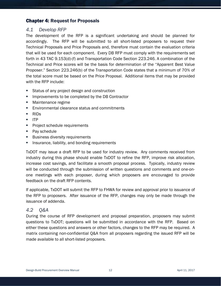# <span id="page-14-0"></span>Chapter 4: Request for Proposals

# <span id="page-14-1"></span>*4.1 Develop RFP*

The development of the RFP is a significant undertaking and should be planned for accordingly. The RFP will be submitted to all short-listed proposers to request their Technical Proposals and Price Proposals and, therefore must contain the evaluation criteria that will be used for each component. Every DB RFP must comply with the requirements set forth in 43 TAC 9.153(d)-(f) and Transportation Code Section 223.246. A combination of the Technical and Price scores will be the basis for determination of the "Apparent Best Value Proposer." Section 223.246(b) of the Transportation Code states that a minimum of 70% of the total score must be based on the Price Proposal. Additional items that may be provided with the RFP include:

- **Status of any project design and construction**
- **IMPROMEDUALE:** Improvements to be completed by the DB Contractor
- **Maintenance regime**
- **Environmental clearance status and commitments**
- RIDs
- $I = ITP$
- **Project schedule requirements**
- Pay schedule
- **Business diversity requirements**
- Insurance, liability, and bonding requirements

TxDOT may issue a draft RFP to be used for industry review. Any comments received from industry during this phase should enable TxDOT to refine the RFP, improve risk allocation, increase cost savings, and facilitate a smooth proposal process. Typically, industry review will be conducted through the submission of written questions and comments and one-onone meetings with each proposer, during which proposers are encouraged to provide feedback on the draft RFP contents.

If applicable, TxDOT will submit the RFP to FHWA for review and approval prior to issuance of the RFP to proposers. After issuance of the RFP, changes may only be made through the issuance of addenda.

# <span id="page-14-2"></span>*4.2 Q&A*

During the course of RFP development and proposal preparation, proposers may submit questions to TxDOT; questions will be submitted in accordance with the RFP. Based on either these questions and answers or other factors, changes to the RFP may be required. A matrix containing non-confidential Q&A from all proposers regarding the issued RFP will be made available to all short-listed proposers.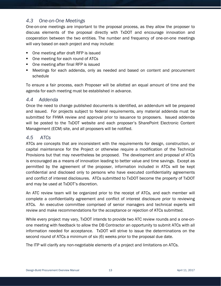# <span id="page-15-0"></span>*4.3 One-on-One Meetings*

One-on-one meetings are important to the proposal process, as they allow the proposer to discuss elements of the proposal directly with TxDOT and encourage innovation and cooperation between the two entities. The number and frequency of one-on-one meetings will vary based on each project and may include:

- One meeting after draft RFP is issued
- One meeting for each round of ATCs
- One meeting after final RFP is issued
- Meetings for each addenda, only as needed and based on content and procurement schedule

To ensure a fair process, each Proposer will be allotted an equal amount of time and the agenda for each meeting must be established in advance.

#### <span id="page-15-1"></span>*4.4 Addenda*

Once the need to change published documents is identified, an addendum will be prepared and issued. For projects subject to federal requirements, any material addenda must be submitted for FHWA review and approval prior to issuance to proposers. Issued addenda will be posted to the TxDOT website and each proposer's SharePoint Electronic Content Management (ECM) site, and all proposers will be notified.

# <span id="page-15-2"></span>*4.5 ATCs*

ATCs are concepts that are inconsistent with the requirements for design, construction, or capital maintenance for the Project or otherwise require a modification of the Technical Provisions but that may nevertheless be proposed. The development and proposal of ATCs is encouraged as a means of innovation leading to better value and time savings. Except as permitted by the agreement of the proposer, information included in ATCs will be kept confidential and disclosed only to persons who have executed confidentiality agreements and conflict of interest disclosures. ATCs submitted to TxDOT become the property of TxDOT and may be used at TxDOT's discretion.

An ATC review team will be organized prior to the receipt of ATCs, and each member will complete a confidentiality agreement and conflict of interest disclosure prior to reviewing ATCs. An executive committee comprised of senior managers and technical experts will review and make recommendations for the acceptance or rejection of ATCs submitted.

While every project may vary, TxDOT intends to provide two ATC review rounds and a one-onone meeting with feedback to allow the DB Contractor an opportunity to submit ATCs with all information needed for acceptance. TxDOT will strive to issue the determinations on the second round of ATCs a minimum of six (6) weeks prior to the proposal due date.

The ITP will clarify any non-negotiable elements of a project and limitations on ATCs.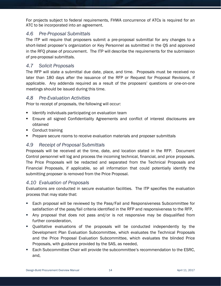For projects subject to federal requirements, FHWA concurrence of ATCs is required for an ATC to be incorporated into an agreement.

# <span id="page-16-0"></span>*4.6 Pre-Proposal Submittals*

The ITP will require that proposers submit a pre-proposal submittal for any changes to a short-listed proposer's organization or Key Personnel as submitted in the QS and approved in the RFQ phase of procurement. The ITP will describe the requirements for the submission of pre-proposal submittals.

### <span id="page-16-1"></span>*4.7 Solicit Proposals*

The RFP will state a submittal due date, place, and time. Proposals must be received no later than 180 days after the issuance of the RFP or Request for Proposal Revisions, if applicable. Any addenda required as a result of the proposers' questions or one-on-one meetings should be issued during this time.

# <span id="page-16-2"></span>*4.8 Pre-Evaluation Activities*

Prior to receipt of proposals, the following will occur:

- **If Identify individuals participating on evaluation team**
- Ensure all signed Confidentiality Agreements and conflict of interest disclosures are obtained
- **Conduct training**
- **Prepare secure rooms to receive evaluation materials and proposer submittals**

# <span id="page-16-3"></span>*4.9 Receipt of Proposal Submittals*

Proposals will be received at the time, date, and location stated in the RFP. Document Control personnel will log and process the incoming technical, financial, and price proposals. The Price Proposals will be redacted and separated from the Technical Proposals and Financial Proposals, if applicable, so all information that could potentially identify the submitting proposer is removed from the Price Proposal.

#### <span id="page-16-4"></span>*4.10 Evaluation of Proposals*

Evaluations are conducted in secure evaluation facilities. The ITP specifies the evaluation process that may state that:

- Each proposal will be reviewed by the Pass/Fail and Responsiveness Subcommittee for satisfaction of the pass/fail criteria identified in the RFP and responsiveness to the RFP,
- Any proposal that does not pass and/or is not responsive may be disqualified from further consideration,
- Qualitative evaluations of the proposals will be conducted independently by the Development Plan Evaluation Subcommittee, which evaluates the Technical Proposals and the Price Proposal Evaluation Subcommittee, which evaluates the blinded Price Proposals, with guidance provided by the SAS, as needed,
- Each Subcommittee Chair will provide the subcommittee's recommendation to the ESRC, and,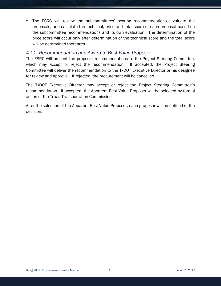The ESRC will review the subcommittees' scoring recommendations, evaluate the proposals, and calculate the technical, price and total score of each proposal based on the subcommittee recommendations and its own evaluation. The determination of the price score will occur only after determination of the technical score and the total score will be determined thereafter.

### <span id="page-17-0"></span>*4.11 Recommendation and Award to Best Value Proposer*

The ESRC will present the proposer recommendations to the Project Steering Committee, which may accept or reject the recommendation. If accepted, the Project Steering Committee will deliver the recommendation to the TxDOT Executive Director or his designee for review and approval. If rejected, the procurement will be cancelled.

The TxDOT Executive Director may accept or reject the Project Steering Committee's recommendation. If accepted, the Apparent Best Value Proposer will be selected by formal action of the Texas Transportation Commission.

After the selection of the Apparent Best Value Proposer, each proposer will be notified of the decision.